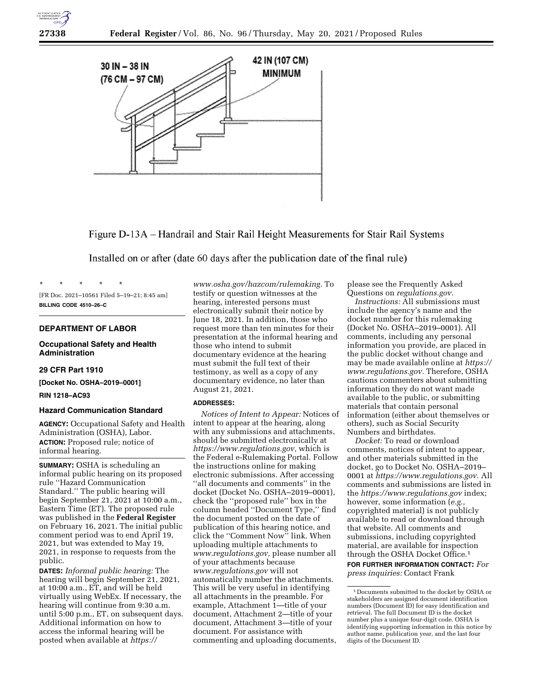

Figure D-13A-Handrail and Stair Rail Height Measurements for Stair Rail Systems

Installed on or after (date 60 days after the publication date of the final rule)

[FR Doc. 2021–10561 Filed 5–19–21; 8:45 am] **BILLING CODE 4510–26–C** 

#### **DEPARTMENT OF LABOR**

\* \* \* \* \*

## **Occupational Safety and Health Administration**

### **29 CFR Part 1910**

**[Docket No. OSHA–2019–0001]** 

**RIN 1218–AC93** 

# **Hazard Communication Standard**

**AGENCY:** Occupational Safety and Health Administration (OSHA), Labor. **ACTION:** Proposed rule; notice of informal hearing.

**SUMMARY:** OSHA is scheduling an informal public hearing on its proposed rule ''Hazard Communication Standard.'' The public hearing will begin September 21, 2021 at 10:00 a.m., Eastern Time (ET). The proposed rule was published in the **Federal Register**  on February 16, 2021. The initial public comment period was to end April 19, 2021, but was extended to May 19, 2021, in response to requests from the public.

**DATES:** *Informal public hearing:* The hearing will begin September 21, 2021, at 10:00 a.m., ET, and will be held virtually using WebEx. If necessary, the hearing will continue from 9:30 a.m. until 5:00 p.m., ET, on subsequent days. Additional information on how to access the informal hearing will be posted when available at *[https://](https://www.osha.gov/hazcom/rulemaking)* 

*[www.osha.gov/hazcom/rulemaking.](https://www.osha.gov/hazcom/rulemaking)* To testify or question witnesses at the hearing, interested persons must electronically submit their notice by June 18, 2021. In addition, those who request more than ten minutes for their presentation at the informal hearing and those who intend to submit documentary evidence at the hearing must submit the full text of their testimony, as well as a copy of any documentary evidence, no later than August 21, 2021.

### **ADDRESSES:**

*Notices of Intent to Appear:* Notices of intent to appear at the hearing, along with any submissions and attachments, should be submitted electronically at *[https://www.regulations.gov,](https://www.regulations.gov)* which is the Federal e-Rulemaking Portal. Follow the instructions online for making electronic submissions. After accessing ''all documents and comments'' in the docket (Docket No. OSHA–2019–0001), check the ''proposed rule'' box in the column headed ''Document Type,'' find the document posted on the date of publication of this hearing notice, and click the ''Comment Now'' link. When uploading multiple attachments to *[www.regulations.gov,](http://www.regulations.gov)* please number all of your attachments because *[www.regulations.gov](http://www.regulations.gov)* will not automatically number the attachments. This will be very useful in identifying all attachments in the preamble. For example, Attachment 1—title of your document, Attachment 2—title of your document, Attachment 3—title of your document. For assistance with commenting and uploading documents,

please see the Frequently Asked Questions on *regulations.gov.* 

*Instructions:* All submissions must include the agency's name and the docket number for this rulemaking (Docket No. OSHA–2019–0001). All comments, including any personal information you provide, are placed in the public docket without change and may be made available online at *[https://](https://www.regulations.gov)  [www.regulations.gov.](https://www.regulations.gov)* Therefore, OSHA cautions commenters about submitting information they do not want made available to the public, or submitting materials that contain personal information (either about themselves or others), such as Social Security Numbers and birthdates.

*Docket:* To read or download comments, notices of intent to appear, and other materials submitted in the docket, go to Docket No. OSHA–2019– 0001 at *[https://www.regulations.gov.](https://www.regulations.gov)* All comments and submissions are listed in the *<https://www.regulations.gov>*index; however, some information (*e.g.,*  copyrighted material) is not publicly available to read or download through that website. All comments and submissions, including copyrighted material, are available for inspection through the OSHA Docket Office.1

**FOR FURTHER INFORMATION CONTACT:** *For press inquiries:* Contact Frank

<sup>1</sup> Documents submitted to the docket by OSHA or stakeholders are assigned document identification numbers (Document ID) for easy identification and retrieval. The full Document ID is the docket number plus a unique four-digit code. OSHA is identifying supporting information in this notice by author name, publication year, and the last four digits of the Document ID.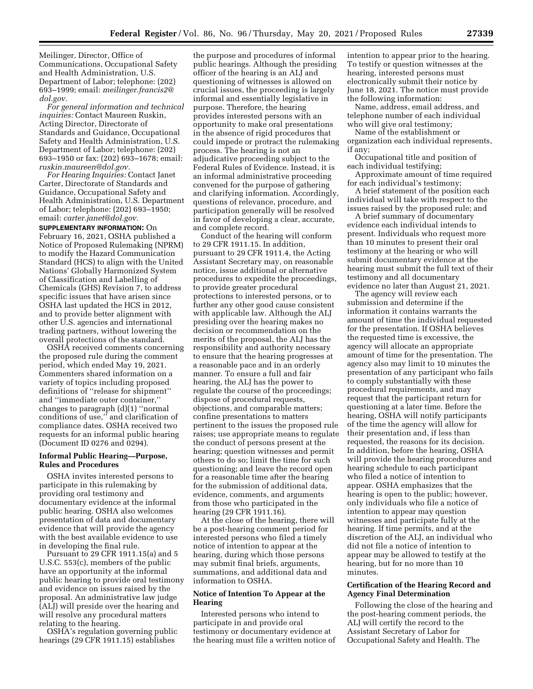Meilinger, Director, Office of Communications, Occupational Safety and Health Administration, U.S. Department of Labor; telephone: (202) 693–1999; email: *[meilinger.francis2@](mailto:meilinger.francis2@dol.gov) [dol.gov.](mailto:meilinger.francis2@dol.gov)* 

*For general information and technical inquiries:* Contact Maureen Ruskin, Acting Director, Directorate of Standards and Guidance, Occupational Safety and Health Administration, U.S. Department of Labor; telephone: (202) 693–1950 or fax: (202) 693–1678; email: *[ruskin.maureen@dol.gov.](mailto:ruskin.maureen@dol.gov)* 

*For Hearing Inquiries:* Contact Janet Carter, Directorate of Standards and Guidance, Occupational Safety and Health Administration, U.S. Department of Labor; telephone: (202) 693–1950; email: *[carter.janet@dol.gov.](mailto:carter.janet@dol.gov)* 

**SUPPLEMENTARY INFORMATION:** On February 16, 2021, OSHA published a Notice of Proposed Rulemaking (NPRM) to modify the Hazard Communication Standard (HCS) to align with the United Nations' Globally Harmonized System of Classification and Labelling of Chemicals (GHS) Revision 7, to address specific issues that have arisen since OSHA last updated the HCS in 2012, and to provide better alignment with other U.S. agencies and international trading partners, without lowering the overall protections of the standard.

OSHA received comments concerning the proposed rule during the comment period, which ended May 19, 2021. Commenters shared information on a variety of topics including proposed definitions of ''release for shipment'' and ''immediate outer container,'' changes to paragraph (d)(1) ''normal conditions of use,'' and clarification of compliance dates. OSHA received two requests for an informal public hearing (Document ID 0276 and 0294).

#### **Informal Public Hearing—Purpose, Rules and Procedures**

OSHA invites interested persons to participate in this rulemaking by providing oral testimony and documentary evidence at the informal public hearing. OSHA also welcomes presentation of data and documentary evidence that will provide the agency with the best available evidence to use in developing the final rule.

Pursuant to 29 CFR 1911.15(a) and 5 U.S.C. 553(c), members of the public have an opportunity at the informal public hearing to provide oral testimony and evidence on issues raised by the proposal. An administrative law judge (ALJ) will preside over the hearing and will resolve any procedural matters relating to the hearing.

OSHA's regulation governing public hearings (29 CFR 1911.15) establishes

the purpose and procedures of informal public hearings. Although the presiding officer of the hearing is an ALJ and questioning of witnesses is allowed on crucial issues, the proceeding is largely informal and essentially legislative in purpose. Therefore, the hearing provides interested persons with an opportunity to make oral presentations in the absence of rigid procedures that could impede or protract the rulemaking process. The hearing is not an adjudicative proceeding subject to the Federal Rules of Evidence. Instead, it is an informal administrative proceeding convened for the purpose of gathering and clarifying information. Accordingly, questions of relevance, procedure, and participation generally will be resolved in favor of developing a clear, accurate, and complete record.

Conduct of the hearing will conform to 29 CFR 1911.15. In addition, pursuant to 29 CFR 1911.4, the Acting Assistant Secretary may, on reasonable notice, issue additional or alternative procedures to expedite the proceedings, to provide greater procedural protections to interested persons, or to further any other good cause consistent with applicable law. Although the ALJ presiding over the hearing makes no decision or recommendation on the merits of the proposal, the ALJ has the responsibility and authority necessary to ensure that the hearing progresses at a reasonable pace and in an orderly manner. To ensure a full and fair hearing, the ALJ has the power to regulate the course of the proceedings; dispose of procedural requests, objections, and comparable matters; confine presentations to matters pertinent to the issues the proposed rule raises; use appropriate means to regulate the conduct of persons present at the hearing; question witnesses and permit others to do so; limit the time for such questioning; and leave the record open for a reasonable time after the hearing for the submission of additional data, evidence, comments, and arguments from those who participated in the hearing (29 CFR 1911.16).

At the close of the hearing, there will be a post-hearing comment period for interested persons who filed a timely notice of intention to appear at the hearing, during which those persons may submit final briefs, arguments, summations, and additional data and information to OSHA.

### **Notice of Intention To Appear at the Hearing**

Interested persons who intend to participate in and provide oral testimony or documentary evidence at the hearing must file a written notice of intention to appear prior to the hearing. To testify or question witnesses at the hearing, interested persons must electronically submit their notice by June 18, 2021. The notice must provide the following information:

Name, address, email address, and telephone number of each individual who will give oral testimony;

Name of the establishment or organization each individual represents, if any;

Occupational title and position of each individual testifying;

Approximate amount of time required for each individual's testimony;

A brief statement of the position each individual will take with respect to the issues raised by the proposed rule; and

A brief summary of documentary evidence each individual intends to present. Individuals who request more than 10 minutes to present their oral testimony at the hearing or who will submit documentary evidence at the hearing must submit the full text of their testimony and all documentary evidence no later than August 21, 2021.

The agency will review each submission and determine if the information it contains warrants the amount of time the individual requested for the presentation. If OSHA believes the requested time is excessive, the agency will allocate an appropriate amount of time for the presentation. The agency also may limit to 10 minutes the presentation of any participant who fails to comply substantially with these procedural requirements, and may request that the participant return for questioning at a later time. Before the hearing, OSHA will notify participants of the time the agency will allow for their presentation and, if less than requested, the reasons for its decision. In addition, before the hearing, OSHA will provide the hearing procedures and hearing schedule to each participant who filed a notice of intention to appear. OSHA emphasizes that the hearing is open to the public; however, only individuals who file a notice of intention to appear may question witnesses and participate fully at the hearing. If time permits, and at the discretion of the ALJ, an individual who did not file a notice of intention to appear may be allowed to testify at the hearing, but for no more than 10 minutes.

### **Certification of the Hearing Record and Agency Final Determination**

Following the close of the hearing and the post-hearing comment periods, the ALJ will certify the record to the Assistant Secretary of Labor for Occupational Safety and Health. The